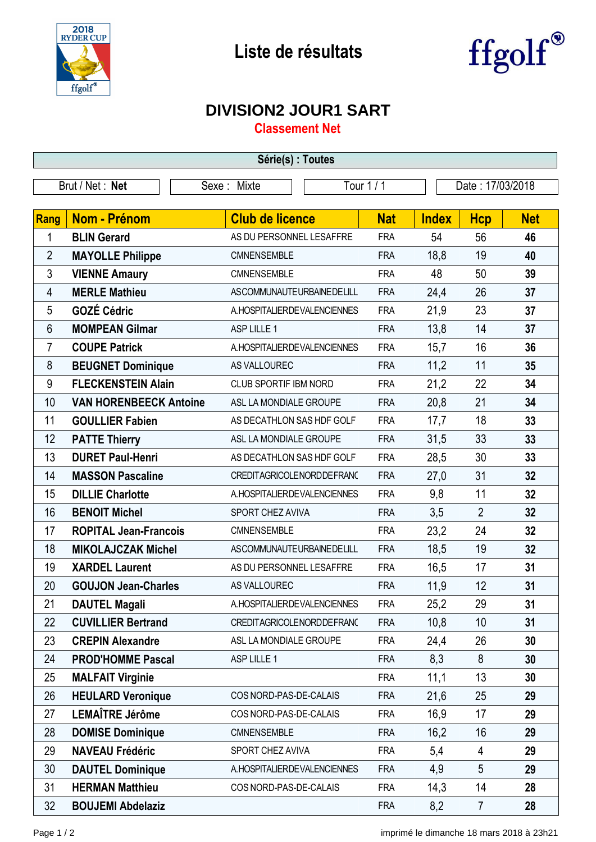



## **DIVISION2 JOUR1 SART**

**Classement Net**

| Série(s) : Toutes |                               |                           |                                |                  |            |              |                |            |  |  |
|-------------------|-------------------------------|---------------------------|--------------------------------|------------------|------------|--------------|----------------|------------|--|--|
| Brut / Net: Net   |                               | Tour 1 / 1<br>Sexe: Mixte |                                | Date: 17/03/2018 |            |              |                |            |  |  |
|                   |                               |                           |                                |                  |            |              |                |            |  |  |
| <b>Rang</b>       | <b>Nom - Prénom</b>           |                           | <b>Club de licence</b>         |                  | <b>Nat</b> | <b>Index</b> | <b>Hcp</b>     | <b>Net</b> |  |  |
| 1                 | <b>BLIN Gerard</b>            |                           | AS DU PERSONNEL LESAFFRE       |                  | <b>FRA</b> | 54           | 56             | 46         |  |  |
| $\overline{2}$    | <b>MAYOLLE Philippe</b>       |                           | CMNENSEMBLE                    |                  | <b>FRA</b> | 18,8         | 19             | 40         |  |  |
| 3                 | <b>VIENNE Amaury</b>          |                           | CMNENSEMBLE                    |                  | <b>FRA</b> | 48           | 50             | 39         |  |  |
| 4                 | <b>MERLE Mathieu</b>          |                           | ASCOMMUNAUTEURBAINEDELILL      |                  | <b>FRA</b> | 24,4         | 26             | 37         |  |  |
| 5                 | <b>GOZÉ Cédric</b>            |                           | A. HOSPITALIER DE VALENCIENNES |                  | <b>FRA</b> | 21,9         | 23             | 37         |  |  |
| 6                 | <b>MOMPEAN Gilmar</b>         |                           | ASP LILLE 1                    |                  | <b>FRA</b> | 13,8         | 14             | 37         |  |  |
| $\overline{7}$    | <b>COUPE Patrick</b>          |                           | A. HOSPITALIER DE VALENCIENNES |                  | <b>FRA</b> | 15,7         | 16             | 36         |  |  |
| 8                 | <b>BEUGNET Dominique</b>      |                           | AS VALLOUREC                   |                  | <b>FRA</b> | 11,2         | 11             | 35         |  |  |
| 9                 | <b>FLECKENSTEIN Alain</b>     |                           | CLUB SPORTIF IBM NORD          |                  | <b>FRA</b> | 21,2         | 22             | 34         |  |  |
| 10                | <b>VAN HORENBEECK Antoine</b> |                           | ASL LA MONDIALE GROUPE         |                  | <b>FRA</b> | 20,8         | 21             | 34         |  |  |
| 11                | <b>GOULLIER Fabien</b>        |                           | AS DECATHLON SAS HDF GOLF      |                  | <b>FRA</b> | 17,7         | 18             | 33         |  |  |
| 12                | <b>PATTE Thierry</b>          |                           | ASL LA MONDIALE GROUPE         |                  | <b>FRA</b> | 31,5         | 33             | 33         |  |  |
| 13                | <b>DURET Paul-Henri</b>       |                           | AS DECATHLON SAS HDF GOLF      |                  | <b>FRA</b> | 28,5         | 30             | 33         |  |  |
| 14                | <b>MASSON Pascaline</b>       |                           | CREDITAGRICOLENORDDEFRANC      |                  | <b>FRA</b> | 27,0         | 31             | 32         |  |  |
| 15                | <b>DILLIE Charlotte</b>       |                           | A. HOSPITALIER DE VALENCIENNES |                  | <b>FRA</b> | 9,8          | 11             | 32         |  |  |
| 16                | <b>BENOIT Michel</b>          |                           | SPORT CHEZ AVIVA               |                  | <b>FRA</b> | 3,5          | $\overline{2}$ | 32         |  |  |
| 17                | <b>ROPITAL Jean-Francois</b>  |                           | CMNENSEMBLE                    |                  | <b>FRA</b> | 23,2         | 24             | 32         |  |  |
| 18                | <b>MIKOLAJCZAK Michel</b>     |                           | ASCOMMUNAUTEURBAINEDELILL      |                  | <b>FRA</b> | 18,5         | 19             | 32         |  |  |
| 19                | <b>XARDEL Laurent</b>         |                           | AS DU PERSONNEL LESAFFRE       |                  | <b>FRA</b> | 16,5         | 17             | 31         |  |  |
| 20                | <b>GOUJON Jean-Charles</b>    |                           | AS VALLOUREC                   |                  | <b>FRA</b> | 11,9         | 12             | 31         |  |  |
| 21                | <b>DAUTEL Magali</b>          |                           | A. HOSPITALIER DE VALENCIENNES |                  | <b>FRA</b> | 25,2         | 29             | 31         |  |  |
| 22                | <b>CUVILLIER Bertrand</b>     |                           | CREDITAGRICOLENORDDEFRANC      |                  | <b>FRA</b> | 10,8         | 10             | 31         |  |  |
| 23                | <b>CREPIN Alexandre</b>       |                           | ASL LA MONDIALE GROUPE         |                  | <b>FRA</b> | 24,4         | 26             | 30         |  |  |
| 24                | <b>PROD'HOMME Pascal</b>      |                           | ASP LILLE 1                    |                  | <b>FRA</b> | 8,3          | 8              | 30         |  |  |
| 25                | <b>MALFAIT Virginie</b>       |                           |                                |                  | <b>FRA</b> | 11,1         | 13             | 30         |  |  |
| 26                | <b>HEULARD Veronique</b>      |                           | COS NORD-PAS-DE-CALAIS         |                  | <b>FRA</b> | 21,6         | 25             | 29         |  |  |
| 27                | LEMAÎTRE Jérôme               |                           | COS NORD-PAS-DE-CALAIS         |                  | <b>FRA</b> | 16,9         | 17             | 29         |  |  |
| 28                | <b>DOMISE Dominique</b>       |                           | CMNENSEMBLE                    |                  | <b>FRA</b> | 16,2         | 16             | 29         |  |  |
| 29                | <b>NAVEAU Frédéric</b>        |                           | SPORT CHEZ AVIVA               |                  | <b>FRA</b> | 5,4          | 4              | 29         |  |  |
| 30                | <b>DAUTEL Dominique</b>       |                           | A. HOSPITALIER DE VALENCIENNES |                  | <b>FRA</b> | 4,9          | 5              | 29         |  |  |
| 31                | <b>HERMAN Matthieu</b>        |                           | COS NORD-PAS-DE-CALAIS         |                  | <b>FRA</b> | 14,3         | 14             | 28         |  |  |
| 32                | <b>BOUJEMI Abdelaziz</b>      |                           |                                |                  | <b>FRA</b> | 8,2          | $\overline{7}$ | 28         |  |  |